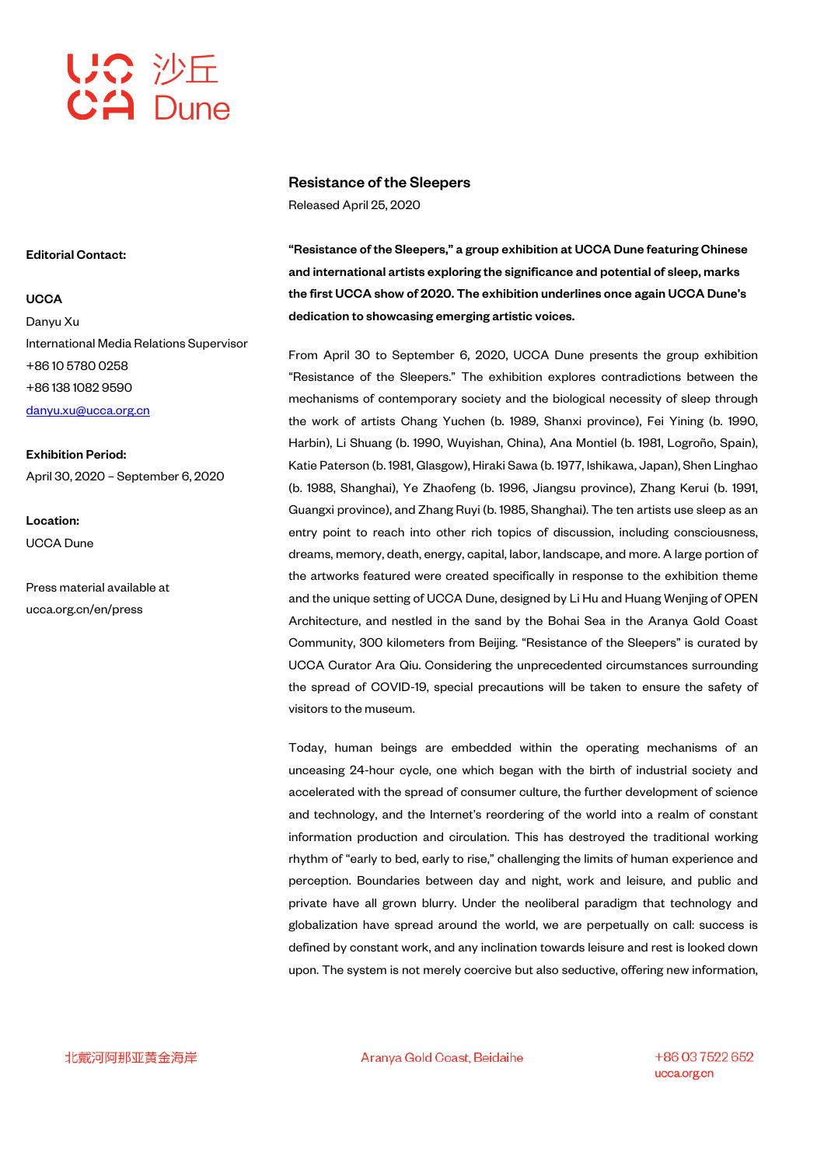

## Resistance of the Sleepers

Released April 25, 2020

"Resistance of the Sleepers," a group exhibition at UCCA Dune featuring Chinese and international artists exploring the significance and potential of sleep, marks the first UCCA show of 2020. The exhibition underlines once again UCCA Dune's dedication to showcasing emerging artistic voices.

From April 30 to September 6, 2020, UCCA Dune presents the group exhibition "Resistance of the Sleepers." The exhibition explores contradictions between the mechanisms of contemporary society and the biological necessity of sleep through the work of artists Chang Yuchen (b. 1989, Shanxi province), Fei Yining (b. 1990, Harbin), Li Shuang (b. 1990, Wuyishan, China), Ana Montiel (b. 1981, Logroño, Spain), Katie Paterson (b. 1981, Glasgow), Hiraki Sawa (b. 1977, Ishikawa, Japan), Shen Linghao (b. 1988, Shanghai), Ye Zhaofeng (b. 1996, Jiangsu province), Zhang Kerui (b. 1991, Guangxi province), and Zhang Ruyi (b. 1985, Shanghai). The ten artists use sleep as an entry point to reach into other rich topics of discussion, including consciousness, dreams, memory, death, energy, capital, labor, landscape, and more. A large portion of the artworks featured were created specifically in response to the exhibition theme and the unique setting of UCCA Dune, designed by Li Hu and Huang Wenjing of OPEN Architecture, and nestled in the sand by the Bohai Sea in the Aranya Gold Coast Community, 300 kilometers from Beijing. "Resistance of the Sleepers" is curated by UCCA Curator Ara Qiu. Considering the unprecedented circumstances surrounding the spread of COVID-19, special precautions will be taken to ensure the safety of visitors to the museum.

Today, human beings are embedded within the operating mechanisms of an unceasing 24-hour cycle, one which began with the birth of industrial society and accelerated with the spread of consumer culture, the further development of science and technology, and the Internet's reordering of the world into a realm of constant information production and circulation. This has destroyed the traditional working rhythm of "early to bed, early to rise," challenging the limits of human experience and perception. Boundaries between day and night, work and leisure, and public and private have all grown blurry. Under the neoliberal paradigm that technology and globalization have spread around the world, we are perpetually on call: success is defined by constant work, and any inclination towards leisure and rest is looked down upon. The system is not merely coercive but also seductive, offering new information,

Editorial Contact:

## **UCCA**

Danyu Xu International Media Relations Supervisor +86 10 5780 0258 +86 138 1082 9590 danyu.xu@ucca.org.cn

Exhibition Period: April 30, 2020 – September 6, 2020

Location: UCCA Dune

Press material available at ucca.org.cn/en/press

北戴河阿那亚黄金海岸

Aranya Gold Coast, Beidaihe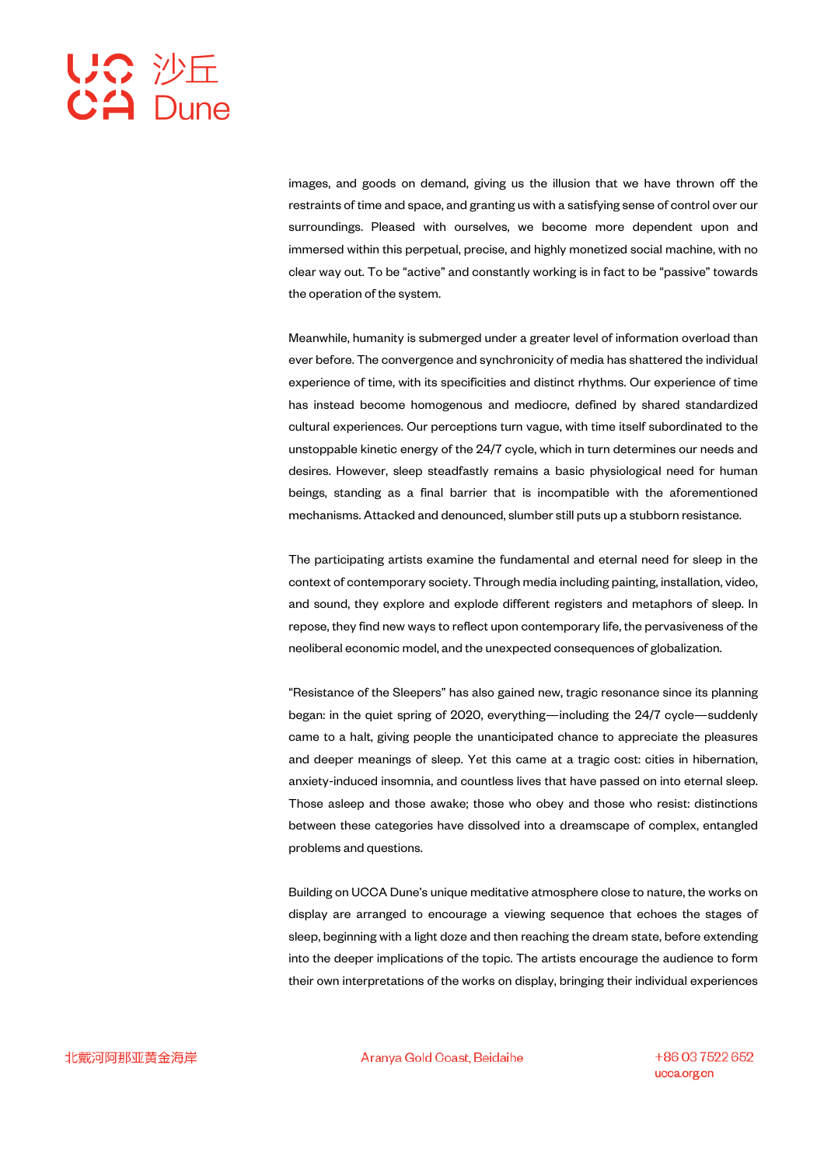images, and goods on demand, giving us the illusion that we have thrown off the restraints of time and space, and granting us with a satisfying sense of control over our surroundings. Pleased with ourselves, we become more dependent upon and immersed within this perpetual, precise, and highly monetized social machine, with no clear way out. To be "active" and constantly working is in fact to be "passive" towards the operation of the system.

Meanwhile, humanity is submerged under a greater level of information overload than ever before. The convergence and synchronicity of media has shattered the individual experience of time, with its specificities and distinct rhythms. Our experience of time has instead become homogenous and mediocre, defined by shared standardized cultural experiences. Our perceptions turn vague, with time itself subordinated to the unstoppable kinetic energy of the 24/7 cycle, which in turn determines our needs and desires. However, sleep steadfastly remains a basic physiological need for human beings, standing as a final barrier that is incompatible with the aforementioned mechanisms. Attacked and denounced, slumber still puts up a stubborn resistance.

The participating artists examine the fundamental and eternal need for sleep in the context of contemporary society. Through media including painting, installation, video, and sound, they explore and explode different registers and metaphors of sleep. In repose, they find new ways to reflect upon contemporary life, the pervasiveness of the neoliberal economic model, and the unexpected consequences of globalization.

"Resistance of the Sleepers" has also gained new, tragic resonance since its planning began: in the quiet spring of 2020, everything—including the 24/7 cycle—suddenly came to a halt, giving people the unanticipated chance to appreciate the pleasures and deeper meanings of sleep. Yet this came at a tragic cost: cities in hibernation, anxiety-induced insomnia, and countless lives that have passed on into eternal sleep. Those asleep and those awake; those who obey and those who resist: distinctions between these categories have dissolved into a dreamscape of complex, entangled problems and questions.

Building on UCCA Dune's unique meditative atmosphere close to nature, the works on display are arranged to encourage a viewing sequence that echoes the stages of sleep, beginning with a light doze and then reaching the dream state, before extending into the deeper implications of the topic. The artists encourage the audience to form their own interpretations of the works on display, bringing their individual experiences

Aranya Gold Coast, Beidaihe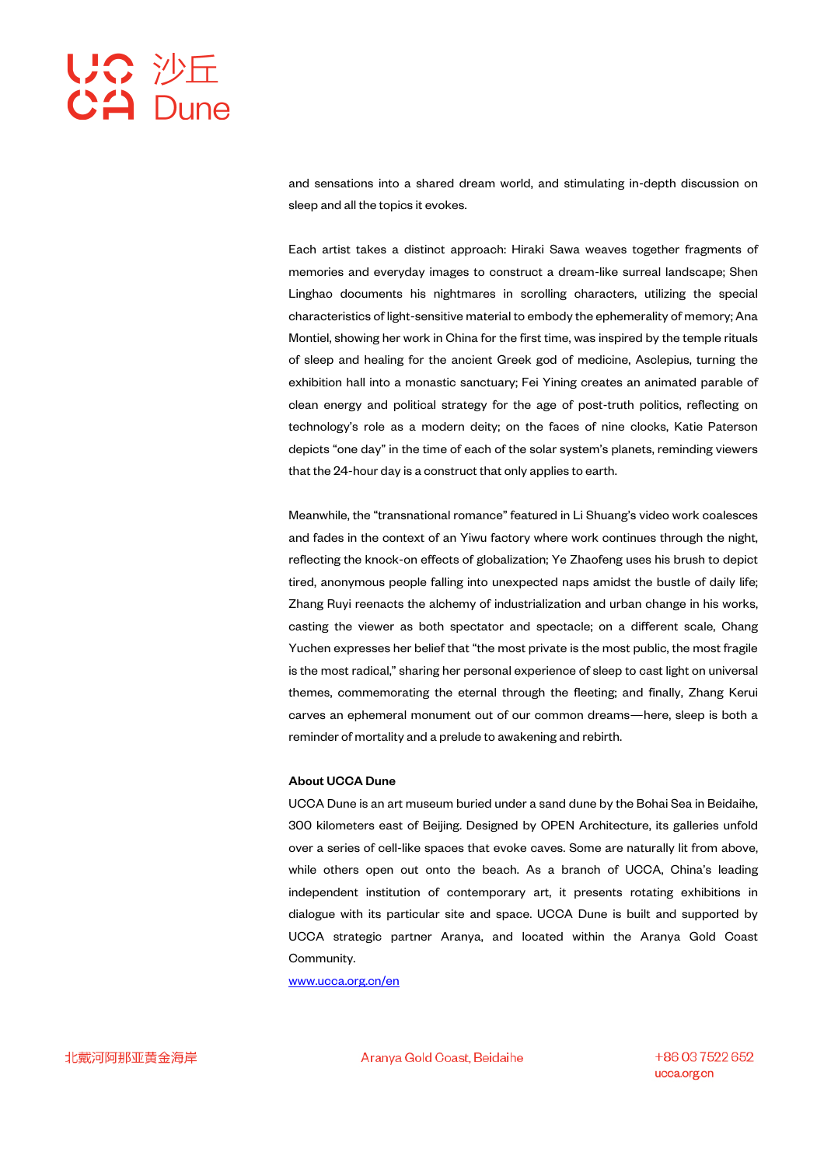and sensations into a shared dream world, and stimulating in-depth discussion on sleep and all the topics it evokes.

Each artist takes a distinct approach: Hiraki Sawa weaves together fragments of memories and everyday images to construct a dream-like surreal landscape; Shen Linghao documents his nightmares in scrolling characters, utilizing the special characteristics of light-sensitive material to embody the ephemerality of memory; Ana Montiel, showing her work in China for the first time, was inspired by the temple rituals of sleep and healing for the ancient Greek god of medicine, Asclepius, turning the exhibition hall into a monastic sanctuary; Fei Yining creates an animated parable of clean energy and political strategy for the age of post-truth politics, reflecting on technology's role as a modern deity; on the faces of nine clocks, Katie Paterson depicts "one day" in the time of each of the solar system's planets, reminding viewers that the 24-hour day is a construct that only applies to earth.

Meanwhile, the "transnational romance" featured in Li Shuang's video work coalesces and fades in the context of an Yiwu factory where work continues through the night, reflecting the knock-on effects of globalization; Ye Zhaofeng uses his brush to depict tired, anonymous people falling into unexpected naps amidst the bustle of daily life; Zhang Ruyi reenacts the alchemy of industrialization and urban change in his works, casting the viewer as both spectator and spectacle; on a different scale, Chang Yuchen expresses her belief that "the most private is the most public, the most fragile is the most radical," sharing her personal experience of sleep to cast light on universal themes, commemorating the eternal through the fleeting; and finally, Zhang Kerui carves an ephemeral monument out of our common dreams—here, sleep is both a reminder of mortality and a prelude to awakening and rebirth.

## About UCCA Dune

UCCA Dune is an art museum buried under a sand dune by the Bohai Sea in Beidaihe, 300 kilometers east of Beijing. Designed by OPEN Architecture, its galleries unfold over a series of cell-like spaces that evoke caves. Some are naturally lit from above, while others open out onto the beach. As a branch of UCCA, China's leading independent institution of contemporary art, it presents rotating exhibitions in dialogue with its particular site and space. UCCA Dune is built and supported by UCCA strategic partner Aranya, and located within the Aranya Gold Coast Community.

www.ucca.org.cn/en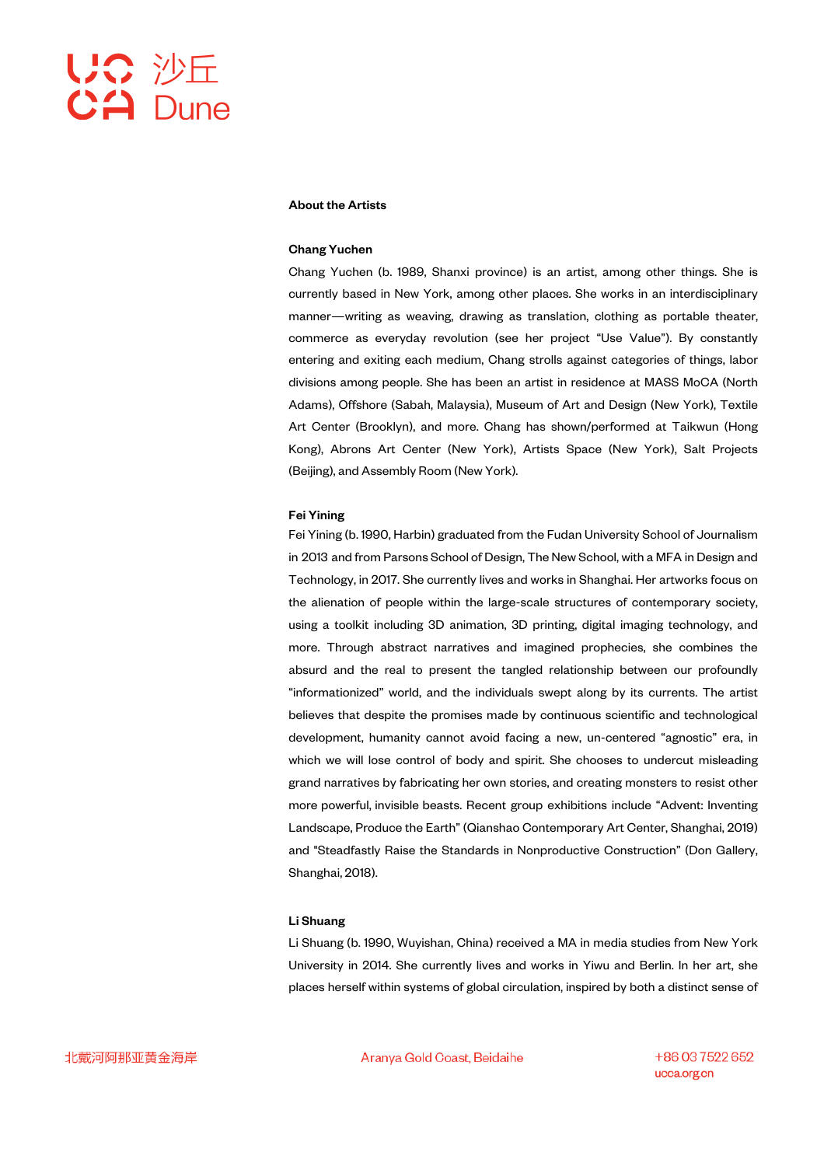

### About the Artists

### Chang Yuchen

Chang Yuchen (b. 1989, Shanxi province) is an artist, among other things. She is currently based in New York, among other places. She works in an interdisciplinary manner—writing as weaving, drawing as translation, clothing as portable theater, commerce as everyday revolution (see her project "Use Value"). By constantly entering and exiting each medium, Chang strolls against categories of things, labor divisions among people. She has been an artist in residence at MASS MoCA (North Adams), Offshore (Sabah, Malaysia), Museum of Art and Design (New York), Textile Art Center (Brooklyn), and more. Chang has shown/performed at Taikwun (Hong Kong), Abrons Art Center (New York), Artists Space (New York), Salt Projects (Beijing), and Assembly Room (New York).

### Fei Yining

Fei Yining (b. 1990, Harbin) graduated from the Fudan University School of Journalism in 2013 and from Parsons School of Design, The New School, with a MFA in Design and Technology, in 2017. She currently lives and works in Shanghai. Her artworks focus on the alienation of people within the large-scale structures of contemporary society, using a toolkit including 3D animation, 3D printing, digital imaging technology, and more. Through abstract narratives and imagined prophecies, she combines the absurd and the real to present the tangled relationship between our profoundly "informationized" world, and the individuals swept along by its currents. The artist believes that despite the promises made by continuous scientific and technological development, humanity cannot avoid facing a new, un-centered "agnostic" era, in which we will lose control of body and spirit. She chooses to undercut misleading grand narratives by fabricating her own stories, and creating monsters to resist other more powerful, invisible beasts. Recent group exhibitions include "Advent: Inventing Landscape, Produce the Earth" (Qianshao Contemporary Art Center, Shanghai, 2019) and "Steadfastly Raise the Standards in Nonproductive Construction" (Don Gallery, Shanghai, 2018).

## Li Shuang

Li Shuang (b. 1990, Wuyishan, China) received a MA in media studies from New York University in 2014. She currently lives and works in Yiwu and Berlin. In her art, she places herself within systems of global circulation, inspired by both a distinct sense of

Aranya Gold Coast, Beidaihe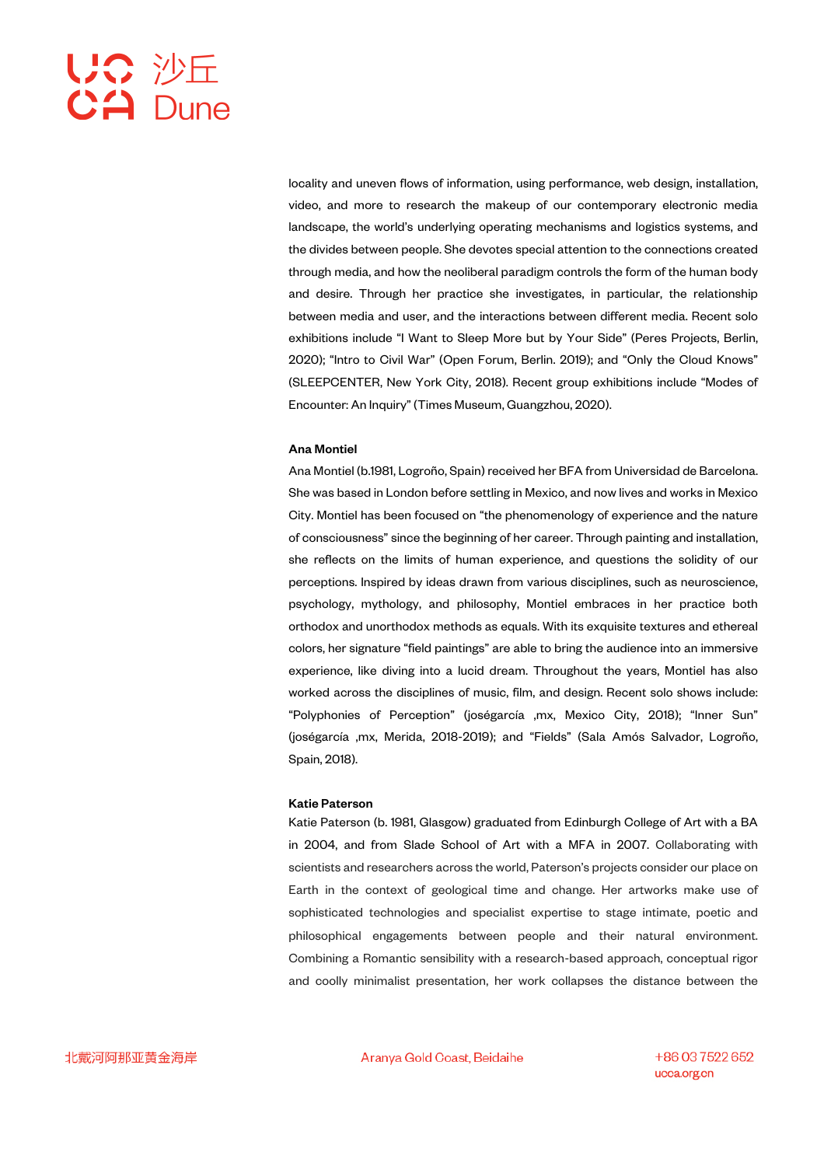locality and uneven flows of information, using performance, web design, installation, video, and more to research the makeup of our contemporary electronic media landscape, the world's underlying operating mechanisms and logistics systems, and the divides between people. She devotes special attention to the connections created through media, and how the neoliberal paradigm controls the form of the human body and desire. Through her practice she investigates, in particular, the relationship between media and user, and the interactions between different media. Recent solo exhibitions include "I Want to Sleep More but by Your Side" (Peres Projects, Berlin, 2020); "Intro to Civil War" (Open Forum, Berlin. 2019); and "Only the Cloud Knows" (SLEEPCENTER, New York City, 2018). Recent group exhibitions include "Modes of Encounter: An Inquiry" (Times Museum, Guangzhou, 2020).

### Ana Montiel

Ana Montiel (b.1981, Logroño, Spain) received her BFA from Universidad de Barcelona. She was based in London before settling in Mexico, and now lives and works in Mexico City. Montiel has been focused on "the phenomenology of experience and the nature of consciousness" since the beginning of her career. Through painting and installation, she reflects on the limits of human experience, and questions the solidity of our perceptions. Inspired by ideas drawn from various disciplines, such as neuroscience, psychology, mythology, and philosophy, Montiel embraces in her practice both orthodox and unorthodox methods as equals. With its exquisite textures and ethereal colors, her signature "field paintings" are able to bring the audience into an immersive experience, like diving into a lucid dream. Throughout the years, Montiel has also worked across the disciplines of music, film, and design. Recent solo shows include: "Polyphonies of Perception" (joségarcía ,mx, Mexico City, 2018); "Inner Sun" (joségarcía ,mx, Merida, 2018-2019); and "Fields" (Sala Amós Salvador, Logroño, Spain, 2018).

### Katie Paterson

Katie Paterson (b. 1981, Glasgow) graduated from Edinburgh College of Art with a BA in 2004, and from Slade School of Art with a MFA in 2007. Collaborating with scientists and researchers across the world, Paterson's projects consider our place on Earth in the context of geological time and change. Her artworks make use of sophisticated technologies and specialist expertise to stage intimate, poetic and philosophical engagements between people and their natural environment. Combining a Romantic sensibility with a research-based approach, conceptual rigor and coolly minimalist presentation, her work collapses the distance between the

Aranya Gold Coast, Beidaihe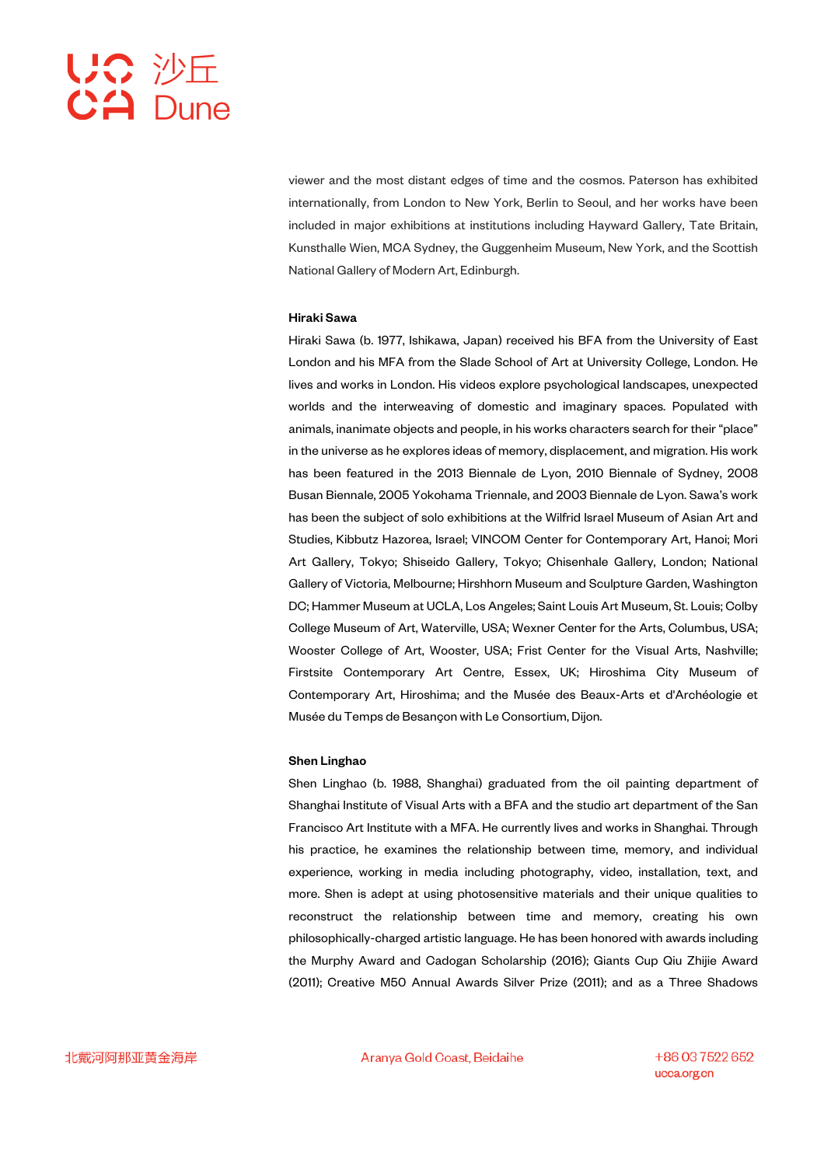viewer and the most distant edges of time and the cosmos. Paterson has exhibited internationally, from London to New York, Berlin to Seoul, and her works have been included in major exhibitions at institutions including Hayward Gallery, Tate Britain, Kunsthalle Wien, MCA Sydney, the Guggenheim Museum, New York, and the Scottish National Gallery of Modern Art, Edinburgh.

### Hiraki Sawa

Hiraki Sawa (b. 1977, Ishikawa, Japan) received his BFA from the University of East London and his MFA from the Slade School of Art at University College, London. He lives and works in London. His videos explore psychological landscapes, unexpected worlds and the interweaving of domestic and imaginary spaces. Populated with animals, inanimate objects and people, in his works characters search for their "place" in the universe as he explores ideas of memory, displacement, and migration. His work has been featured in the 2013 Biennale de Lyon, 2010 Biennale of Sydney, 2008 Busan Biennale, 2005 Yokohama Triennale, and 2003 Biennale de Lyon. Sawa's work has been the subject of solo exhibitions at the Wilfrid Israel Museum of Asian Art and Studies, Kibbutz Hazorea, Israel; VINCOM Center for Contemporary Art, Hanoi; Mori Art Gallery, Tokyo; Shiseido Gallery, Tokyo; Chisenhale Gallery, London; National Gallery of Victoria, Melbourne; Hirshhorn Museum and Sculpture Garden, Washington DC; Hammer Museum at UCLA, Los Angeles; Saint Louis Art Museum, St. Louis; Colby College Museum of Art, Waterville, USA; Wexner Center for the Arts, Columbus, USA; Wooster College of Art, Wooster, USA; Frist Center for the Visual Arts, Nashville; Firstsite Contemporary Art Centre, Essex, UK; Hiroshima City Museum of Contemporary Art, Hiroshima; and the Musée des Beaux-Arts et d'Archéologie et Musée du Temps de Besançon with Le Consortium, Dijon.

### Shen Linghao

Shen Linghao (b. 1988, Shanghai) graduated from the oil painting department of Shanghai Institute of Visual Arts with a BFA and the studio art department of the San Francisco Art Institute with a MFA. He currently lives and works in Shanghai. Through his practice, he examines the relationship between time, memory, and individual experience, working in media including photography, video, installation, text, and more. Shen is adept at using photosensitive materials and their unique qualities to reconstruct the relationship between time and memory, creating his own philosophically-charged artistic language. He has been honored with awards including the Murphy Award and Cadogan Scholarship (2016); Giants Cup Qiu Zhijie Award (2011); Creative M50 Annual Awards Silver Prize (2011); and as a Three Shadows

Aranya Gold Coast, Beidaihe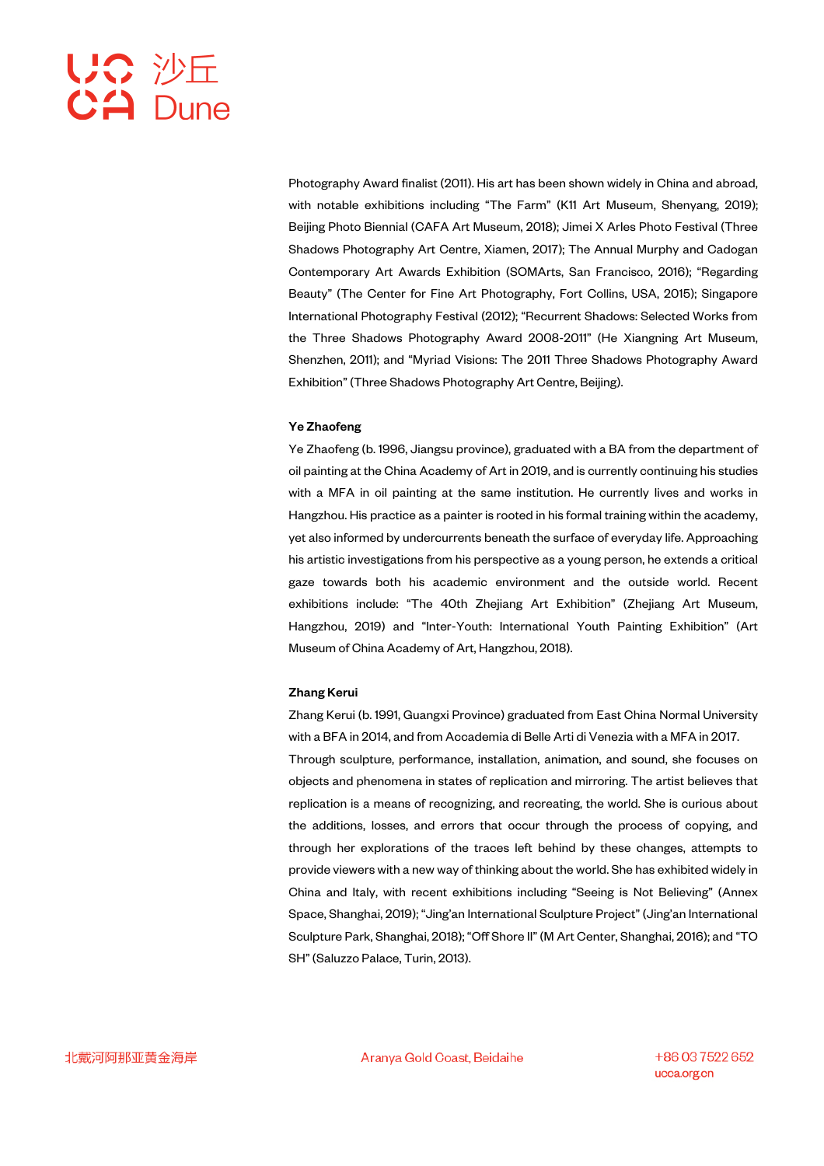Photography Award finalist (2011). His art has been shown widely in China and abroad, with notable exhibitions including "The Farm" (K11 Art Museum, Shenyang, 2019); Beijing Photo Biennial (CAFA Art Museum, 2018); Jimei X Arles Photo Festival (Three Shadows Photography Art Centre, Xiamen, 2017); The Annual Murphy and Cadogan Contemporary Art Awards Exhibition (SOMArts, San Francisco, 2016); "Regarding Beauty" (The Center for Fine Art Photography, Fort Collins, USA, 2015); Singapore International Photography Festival (2012); "Recurrent Shadows: Selected Works from the Three Shadows Photography Award 2008-2011" (He Xiangning Art Museum, Shenzhen, 2011); and "Myriad Visions: The 2011 Three Shadows Photography Award Exhibition" (Three Shadows Photography Art Centre, Beijing).

## Ye Zhaofeng

Ye Zhaofeng (b. 1996, Jiangsu province), graduated with a BA from the department of oil painting at the China Academy of Art in 2019, and is currently continuing his studies with a MFA in oil painting at the same institution. He currently lives and works in Hangzhou. His practice as a painter is rooted in his formal training within the academy, yet also informed by undercurrents beneath the surface of everyday life. Approaching his artistic investigations from his perspective as a young person, he extends a critical gaze towards both his academic environment and the outside world. Recent exhibitions include: "The 40th Zhejiang Art Exhibition" (Zhejiang Art Museum, Hangzhou, 2019) and "Inter-Youth: International Youth Painting Exhibition" (Art Museum of China Academy of Art, Hangzhou, 2018).

### Zhang Kerui

Zhang Kerui (b. 1991, Guangxi Province) graduated from East China Normal University with a BFA in 2014, and from Accademia di Belle Arti di Venezia with a MFA in 2017. Through sculpture, performance, installation, animation, and sound, she focuses on objects and phenomena in states of replication and mirroring. The artist believes that replication is a means of recognizing, and recreating, the world. She is curious about the additions, losses, and errors that occur through the process of copying, and through her explorations of the traces left behind by these changes, attempts to provide viewers with a new way of thinking about the world. She has exhibited widely in China and Italy, with recent exhibitions including "Seeing is Not Believing" (Annex Space, Shanghai, 2019); "Jing'an International Sculpture Project" (Jing'an International Sculpture Park, Shanghai, 2018); "Off Shore II" (M Art Center, Shanghai, 2016); and "TO SH" (Saluzzo Palace, Turin, 2013).

Aranya Gold Coast, Beidaihe